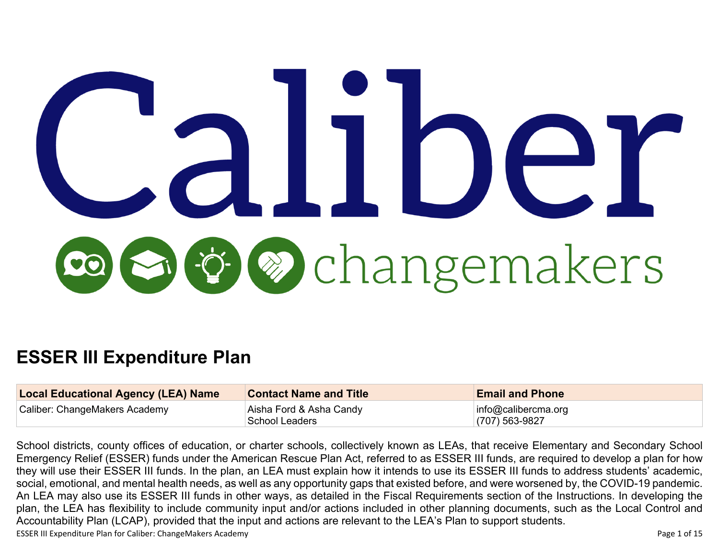# UIDel r **De** changemakers

# **ESSER III Expenditure Plan**

| <b>Local Educational Agency (LEA) Name</b> | <b>Contact Name and Title</b> | <b>Email and Phone</b>  |
|--------------------------------------------|-------------------------------|-------------------------|
| Caliber: ChangeMakers Academy              | Aisha Ford & Asha Candy       | $ $ info@calibercma.org |
|                                            | School Leaders                | $(707)$ 563-9827        |

ESSER III Expenditure Plan for Caliber: ChangeMakers Academy **Page 1 of 15** Page 1 of 15 School districts, county offices of education, or charter schools, collectively known as LEAs, that receive Elementary and Secondary School Emergency Relief (ESSER) funds under the American Rescue Plan Act, referred to as ESSER III funds, are required to develop a plan for how they will use their ESSER III funds. In the plan, an LEA must explain how it intends to use its ESSER III funds to address students' academic, social, emotional, and mental health needs, as well as any opportunity gaps that existed before, and were worsened by, the COVID-19 pandemic. An LEA may also use its ESSER III funds in other ways, as detailed in the Fiscal Requirements section of the Instructions. In developing the plan, the LEA has flexibility to include community input and/or actions included in other planning documents, such as the Local Control and Accountability Plan (LCAP), provided that the input and actions are relevant to the LEA's Plan to support students.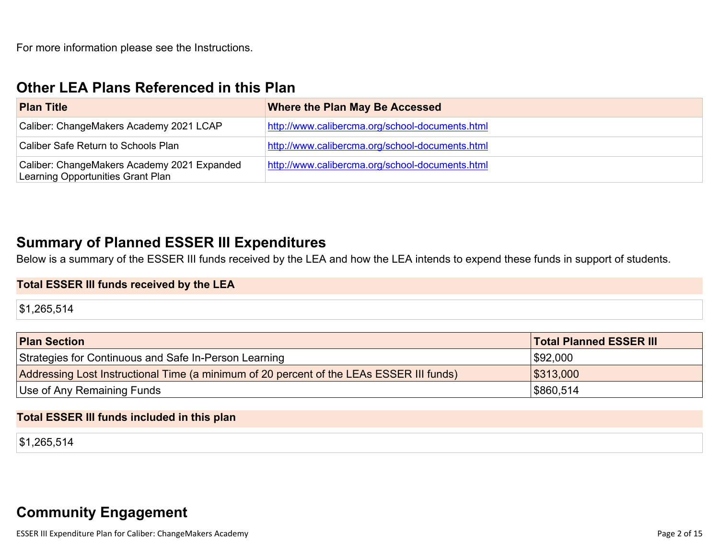## **Other LEA Plans [Referenced](#page-9-0) in this Plan**

| <b>Plan Title</b>                                                                | <b>Where the Plan May Be Accessed</b>           |
|----------------------------------------------------------------------------------|-------------------------------------------------|
| Caliber: ChangeMakers Academy 2021 LCAP                                          | http://www.calibercma.org/school-documents.html |
| Caliber Safe Return to Schools Plan                                              | http://www.calibercma.org/school-documents.html |
| Caliber: ChangeMakers Academy 2021 Expanded<br>Learning Opportunities Grant Plan | http://www.calibercma.org/school-documents.html |

## **Summary of Planned ESSER III [Expenditures](#page-9-1)**

Below is a summary of the ESSER III funds received by the LEA and how the LEA intends to expend these funds in support of students.

#### **Total ESSER III funds received by the LEA**

\$1,265,514

| <b>Plan Section</b>                                                                      | <b>Total Planned ESSER III</b> |
|------------------------------------------------------------------------------------------|--------------------------------|
| Strategies for Continuous and Safe In-Person Learning                                    | \$92,000                       |
| Addressing Lost Instructional Time (a minimum of 20 percent of the LEAs ESSER III funds) | \$313,000                      |
| Use of Any Remaining Funds                                                               | \$860,514                      |

#### **Total ESSER III funds included in this plan**

\$1,265,514

## **Community [Engagement](#page-10-0)**

ESSER III Expenditure Plan for Caliber: ChangeMakers Academy **Page 2 of 15** and the Unit of the Value of the Value Page 2 of 15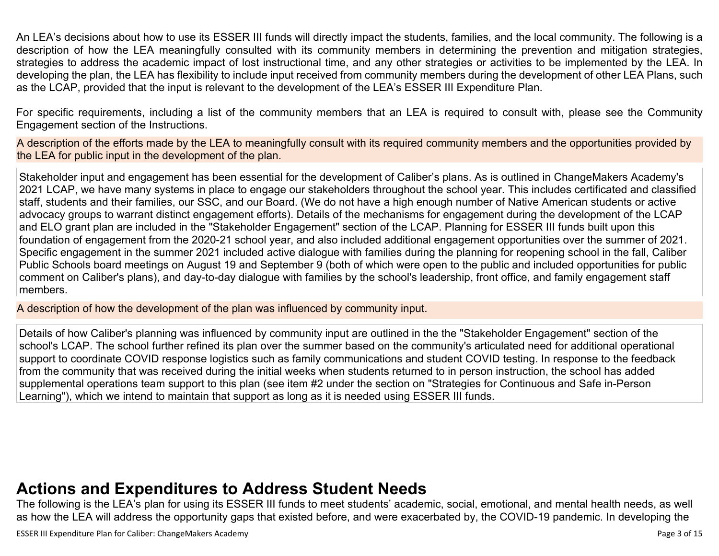An LEA's decisions about how to use its ESSER III funds will directly impact the students, families, and the local community. The following is a description of how the LEA meaningfully consulted with its community members in determining the prevention and mitigation strategies, strategies to address the academic impact of lost instructional time, and any other strategies or activities to be implemented by the LEA. In developing the plan, the LEA has flexibility to include input received from community members during the development of other LEA Plans, such as the LCAP, provided that the input is relevant to the development of the LEA's ESSER III Expenditure Plan.

For specific requirements, including a list of the community members that an LEA is required to consult with, please see the Community Engagement section of the Instructions.

A description of the efforts made by the LEA to meaningfully consult with its required community members and the opportunities provided by the LEA for public input in the development of the plan.

Stakeholder input and engagement has been essential for the development of Caliber's plans. As is outlined in ChangeMakers Academy's 2021 LCAP, we have many systems in place to engage our stakeholders throughout the school year. This includes certificated and classified staff, students and their families, our SSC, and our Board. (We do not have a high enough number of Native American students or active advocacy groups to warrant distinct engagement efforts). Details of the mechanisms for engagement during the development of the LCAP and ELO grant plan are included in the "Stakeholder Engagement" section of the LCAP. Planning for ESSER III funds built upon this foundation of engagement from the 2020-21 school year, and also included additional engagement opportunities over the summer of 2021. Specific engagement in the summer 2021 included active dialogue with families during the planning for reopening school in the fall, Caliber Public Schools board meetings on August 19 and September 9 (both of which were open to the public and included opportunities for public comment on Caliber's plans), and day-to-day dialogue with families by the school's leadership, front office, and family engagement staff members.

A description of how the development of the plan was influenced by community input.

Details of how Caliber's planning was influenced by community input are outlined in the the "Stakeholder Engagement" section of the school's LCAP. The school further refined its plan over the summer based on the community's articulated need for additional operational support to coordinate COVID response logistics such as family communications and student COVID testing. In response to the feedback from the community that was received during the initial weeks when students returned to in person instruction, the school has added supplemental operations team support to this plan (see item #2 under the section on "Strategies for Continuous and Safe in-Person Learning"), which we intend to maintain that support as long as it is needed using ESSER III funds.

## **Actions and [Expenditures](#page-12-0) to Address Student Needs**

The following is the LEA's plan for using its ESSER III funds to meet students' academic, social, emotional, and mental health needs, as well as how the LEA will address the opportunity gaps that existed before, and were exacerbated by, the COVID-19 pandemic. In developing the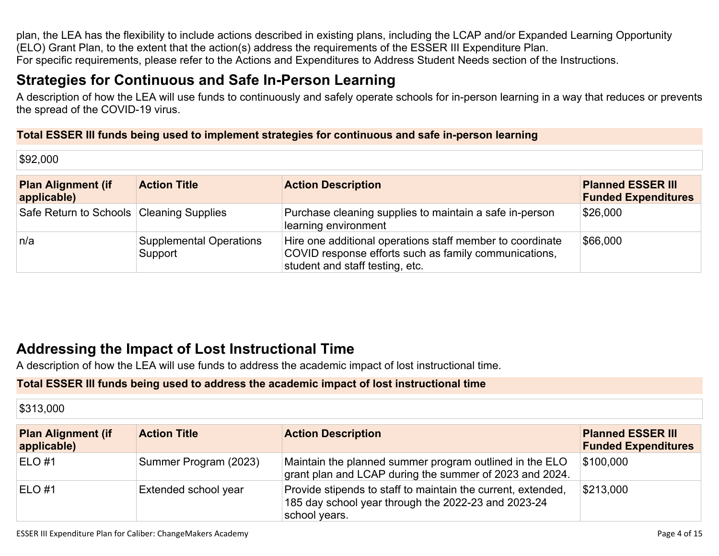plan, the LEA has the flexibility to include actions described in existing plans, including the LCAP and/or Expanded Learning Opportunity (ELO) Grant Plan, to the extent that the action(s) address the requirements of the ESSER III Expenditure Plan. For specific requirements, please refer to the Actions and Expenditures to Address Student Needs section of the Instructions.

## **Strategies for [Continuous](#page-12-1) and Safe In-Person Learning**

A description of how the LEA will use funds to continuously and safely operate schools for in-person learning in a way that reduces or prevents the spread of the COVID-19 virus.

#### **Total ESSER III funds being used to implement strategies for continuous and safe in-person learning**

\$92,000

| <b>Plan Alignment (if</b><br>applicable) | <b>Action Title</b>                       | <b>Action Description</b>                                                                                                                             | <b>Planned ESSER III</b><br><b>Funded Expenditures</b> |
|------------------------------------------|-------------------------------------------|-------------------------------------------------------------------------------------------------------------------------------------------------------|--------------------------------------------------------|
| Safe Return to Schools Cleaning Supplies |                                           | Purchase cleaning supplies to maintain a safe in-person<br>learning environment                                                                       | \$26,000                                               |
| n/a                                      | <b>Supplemental Operations</b><br>Support | Hire one additional operations staff member to coordinate<br>COVID response efforts such as family communications,<br>student and staff testing, etc. | \$66,000                                               |

## **Addressing the Impact of Lost [Instructional](#page-13-0) Tim[e](#page-13-0)**

A description of how the LEA will use funds to address the academic impact of lost instructional time.

#### **Total ESSER III funds being used to address the academic impact of lost instructional time**

| \$313,000                                |                       |                                                                                                                                      |                                                        |
|------------------------------------------|-----------------------|--------------------------------------------------------------------------------------------------------------------------------------|--------------------------------------------------------|
| <b>Plan Alignment (if</b><br>applicable) | <b>Action Title</b>   | <b>Action Description</b>                                                                                                            | <b>Planned ESSER III</b><br><b>Funded Expenditures</b> |
| $ELO$ #1                                 | Summer Program (2023) | Maintain the planned summer program outlined in the ELO<br>grant plan and LCAP during the summer of 2023 and 2024.                   | \$100,000                                              |
| ELO#1                                    | Extended school year  | Provide stipends to staff to maintain the current, extended,<br>185 day school year through the 2022-23 and 2023-24<br>school years. | \$213,000                                              |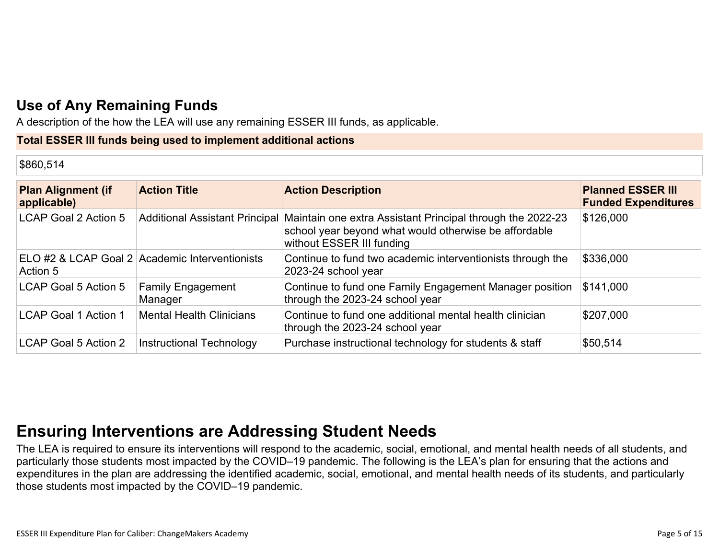## **Use of Any [Remaining](#page-13-1) Fund[s](#page-13-1)**

A description of the how the LEA will use any remaining ESSER III funds, as applicable.

#### **Total ESSER III funds being used to implement additional actions**

#### \$860,514

| <b>Plan Alignment (if</b><br>applicable) | <b>Action Title</b>                            | <b>Action Description</b>                                                                                                                                                       | <b>Planned ESSER III</b><br><b>Funded Expenditures</b> |
|------------------------------------------|------------------------------------------------|---------------------------------------------------------------------------------------------------------------------------------------------------------------------------------|--------------------------------------------------------|
| LCAP Goal 2 Action 5                     |                                                | Additional Assistant Principal Maintain one extra Assistant Principal through the 2022-23<br>school year beyond what would otherwise be affordable<br>without ESSER III funding | \$126,000                                              |
| Action 5                                 | ELO #2 & LCAP Goal 2 Academic Interventionists | Continue to fund two academic interventionists through the<br>2023-24 school year                                                                                               | \$336,000                                              |
| LCAP Goal 5 Action 5                     | <b>Family Engagement</b><br>Manager            | Continue to fund one Family Engagement Manager position<br>through the 2023-24 school year                                                                                      | \$141,000                                              |
| <b>LCAP Goal 1 Action 1</b>              | <b>Mental Health Clinicians</b>                | Continue to fund one additional mental health clinician<br>through the 2023-24 school year                                                                                      | \$207,000                                              |
| LCAP Goal 5 Action 2                     | <b>Instructional Technology</b>                | Purchase instructional technology for students & staff                                                                                                                          | \$50,514                                               |

## **Ensuring [Interventions](#page-13-2) are Addressing Student Need[s](#page-13-2)**

The LEA is required to ensure its interventions will respond to the academic, social, emotional, and mental health needs of all students, and particularly those students most impacted by the COVID–19 pandemic. The following is the LEA's plan for ensuring that the actions and expenditures in the plan are addressing the identified academic, social, emotional, and mental health needs of its students, and particularly those students most impacted by the COVID–19 pandemic.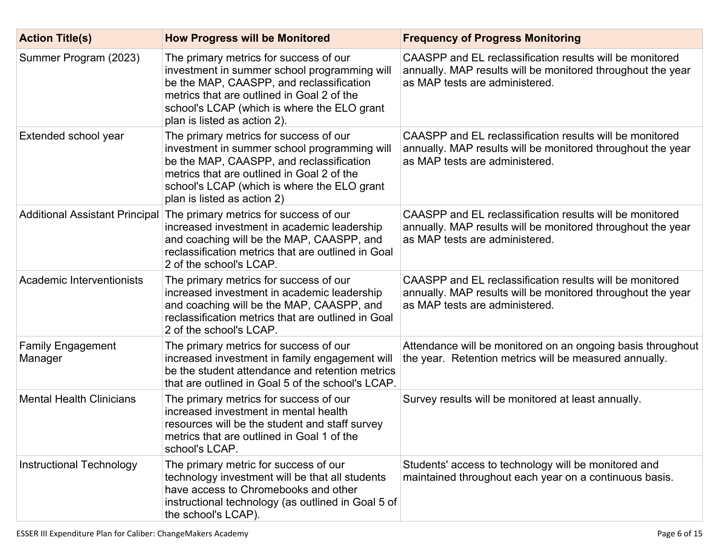| <b>Action Title(s)</b>              | <b>How Progress will be Monitored</b>                                                                                                                                                                                                                           | <b>Frequency of Progress Monitoring</b>                                                                                                                   |
|-------------------------------------|-----------------------------------------------------------------------------------------------------------------------------------------------------------------------------------------------------------------------------------------------------------------|-----------------------------------------------------------------------------------------------------------------------------------------------------------|
| Summer Program (2023)               | The primary metrics for success of our<br>investment in summer school programming will<br>be the MAP, CAASPP, and reclassification<br>metrics that are outlined in Goal 2 of the<br>school's LCAP (which is where the ELO grant<br>plan is listed as action 2). | CAASPP and EL reclassification results will be monitored<br>annually. MAP results will be monitored throughout the year<br>as MAP tests are administered. |
| Extended school year                | The primary metrics for success of our<br>investment in summer school programming will<br>be the MAP, CAASPP, and reclassification<br>metrics that are outlined in Goal 2 of the<br>school's LCAP (which is where the ELO grant<br>plan is listed as action 2)  | CAASPP and EL reclassification results will be monitored<br>annually. MAP results will be monitored throughout the year<br>as MAP tests are administered. |
|                                     | Additional Assistant Principal The primary metrics for success of our<br>increased investment in academic leadership<br>and coaching will be the MAP, CAASPP, and<br>reclassification metrics that are outlined in Goal<br>2 of the school's LCAP.              | CAASPP and EL reclassification results will be monitored<br>annually. MAP results will be monitored throughout the year<br>as MAP tests are administered. |
| Academic Interventionists           | The primary metrics for success of our<br>increased investment in academic leadership<br>and coaching will be the MAP, CAASPP, and<br>reclassification metrics that are outlined in Goal<br>2 of the school's LCAP.                                             | CAASPP and EL reclassification results will be monitored<br>annually. MAP results will be monitored throughout the year<br>as MAP tests are administered. |
| <b>Family Engagement</b><br>Manager | The primary metrics for success of our<br>increased investment in family engagement will<br>be the student attendance and retention metrics<br>that are outlined in Goal 5 of the school's LCAP.                                                                | Attendance will be monitored on an ongoing basis throughout<br>the year. Retention metrics will be measured annually.                                     |
| <b>Mental Health Clinicians</b>     | The primary metrics for success of our<br>increased investment in mental health<br>resources will be the student and staff survey<br>metrics that are outlined in Goal 1 of the<br>school's LCAP.                                                               | Survey results will be monitored at least annually.                                                                                                       |
| Instructional Technology            | The primary metric for success of our<br>technology investment will be that all students<br>have access to Chromebooks and other<br>instructional technology (as outlined in Goal 5 of<br>the school's LCAP).                                                   | Students' access to technology will be monitored and<br>maintained throughout each year on a continuous basis.                                            |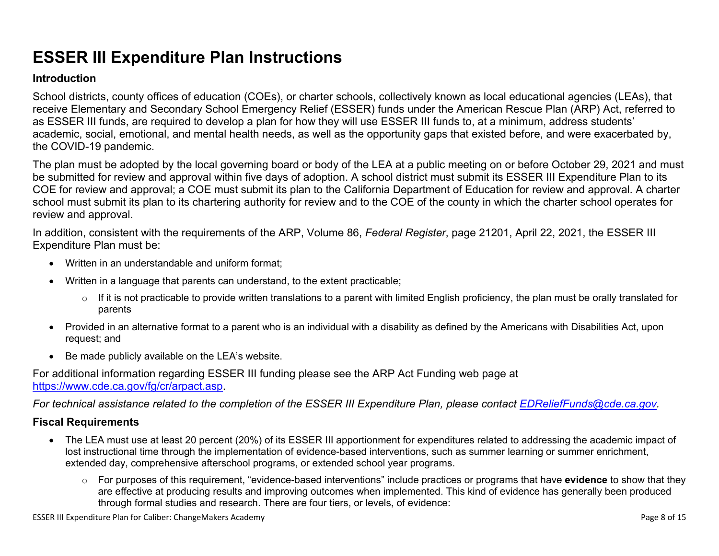## **ESSER III Expenditure Plan Instructions**

#### **Introduction**

School districts, county offices of education (COEs), or charter schools, collectively known as local educational agencies (LEAs), that receive Elementary and Secondary School Emergency Relief (ESSER) funds under the American Rescue Plan (ARP) Act, referred to as ESSER III funds, are required to develop a plan for how they will use ESSER III funds to, at a minimum, address students' academic, social, emotional, and mental health needs, as well as the opportunity gaps that existed before, and were exacerbated by, the COVID-19 pandemic.

The plan must be adopted by the local governing board or body of the LEA at a public meeting on or before October 29, 2021 and must be submitted for review and approval within five days of adoption. A school district must submit its ESSER III Expenditure Plan to its COE for review and approval; a COE must submit its plan to the California Department of Education for review and approval. A charter school must submit its plan to its chartering authority for review and to the COE of the county in which the charter school operates for review and approval.

In addition, consistent with the requirements of the ARP, Volume 86, *Federal Register*, page 21201, April 22, 2021, the ESSER III Expenditure Plan must be:

- Written in an understandable and uniform format;
- Written in a language that parents can understand, to the extent practicable;
	- $\circ$  If it is not practicable to provide written translations to a parent with limited English proficiency, the plan must be orally translated for parents
- Provided in an alternative format to a parent who is an individual with a disability as defined by the Americans with Disabilities Act, upon request; and
- Be made publicly available on the LEA's website.

For additional information regarding ESSER III funding please see the ARP Act Funding web page at <https://www.cde.ca.gov/fg/cr/arpact.asp>.

For technical assistance related to the completion of the ESSER III Expenditure Plan, please contact [EDReliefFunds@cde.ca.gov](mailto:EDReliefFunds@cde.ca.gov).

#### **Fiscal Requirements**

- The LEA must use at least 20 percent (20%) of its ESSER III apportionment for expenditures related to addressing the academic impact of lost instructional time through the implementation of evidence-based interventions, such as summer learning or summer enrichment, extended day, comprehensive afterschool programs, or extended school year programs.
	- o For purposes of this requirement, "evidence-based interventions" include practices or programs that have **evidence** to show that they are effective at producing results and improving outcomes when implemented. This kind of evidence has generally been produced through formal studies and research. There are four tiers, or levels, of evidence: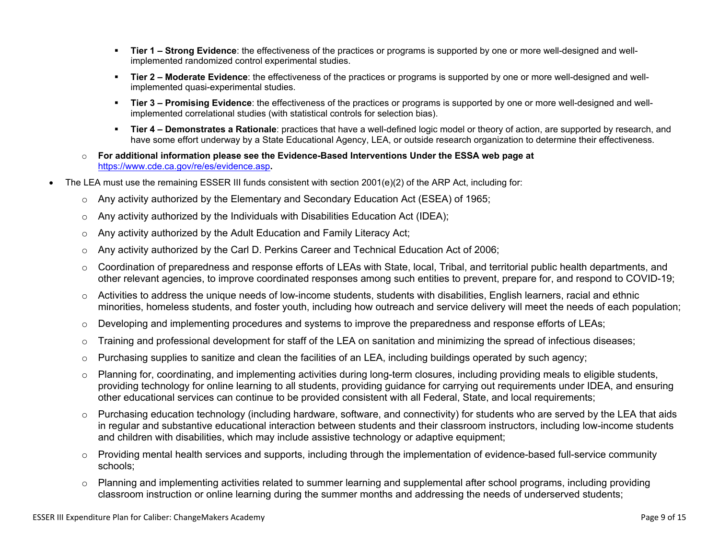- **Tier 1 – Strong Evidence**: the effectiveness of the practices or programs is supported by one or more well-designed and wellimplemented randomized control experimental studies.
- **Tier 2 – Moderate Evidence**: the effectiveness of the practices or programs is supported by one or more well-designed and wellimplemented quasi-experimental studies.
- **Tier 3 – Promising Evidence**: the effectiveness of the practices or programs is supported by one or more well-designed and wellimplemented correlational studies (with statistical controls for selection bias).
- **Tier 4 – Demonstrates a Rationale**: practices that have a well-defined logic model or theory of action, are supported by research, and have some effort underway by a State Educational Agency, LEA, or outside research organization to determine their effectiveness.
- o **For additional information please see the Evidence-Based Interventions Under the ESSA web page at** <https://www.cde.ca.gov/re/es/evidence.asp>**.**
- The LEA must use the remaining ESSER III funds consistent with section 2001(e)(2) of the ARP Act, including for:
	- $\circ$  Any activity authorized by the Elementary and Secondary Education Act (ESEA) of 1965;
	- $\circ$  Any activity authorized by the Individuals with Disabilities Education Act (IDEA);
	- o Any activity authorized by the Adult Education and Family Literacy Act;
	- $\circ$  Any activity authorized by the Carl D. Perkins Career and Technical Education Act of 2006;
	- $\circ$  Coordination of preparedness and response efforts of LEAs with State, local, Tribal, and territorial public health departments, and other relevant agencies, to improve coordinated responses among such entities to prevent, prepare for, and respond to COVID-19;
	- $\circ$  Activities to address the unique needs of low-income students, students with disabilities, English learners, racial and ethnic minorities, homeless students, and foster youth, including how outreach and service delivery will meet the needs of each population;
	- o Developing and implementing procedures and systems to improve the preparedness and response efforts of LEAs;
	- $\circ$  Training and professional development for staff of the LEA on sanitation and minimizing the spread of infectious diseases;
	- $\circ$  Purchasing supplies to sanitize and clean the facilities of an LEA, including buildings operated by such agency;
	- $\circ$  Planning for, coordinating, and implementing activities during long-term closures, including providing meals to eligible students, providing technology for online learning to all students, providing guidance for carrying out requirements under IDEA, and ensuring other educational services can continue to be provided consistent with all Federal, State, and local requirements;
	- $\circ$  Purchasing education technology (including hardware, software, and connectivity) for students who are served by the LEA that aids in regular and substantive educational interaction between students and their classroom instructors, including low-income students and children with disabilities, which may include assistive technology or adaptive equipment;
	- o Providing mental health services and supports, including through the implementation of evidence-based full-service community schools;
	- o Planning and implementing activities related to summer learning and supplemental after school programs, including providing classroom instruction or online learning during the summer months and addressing the needs of underserved students;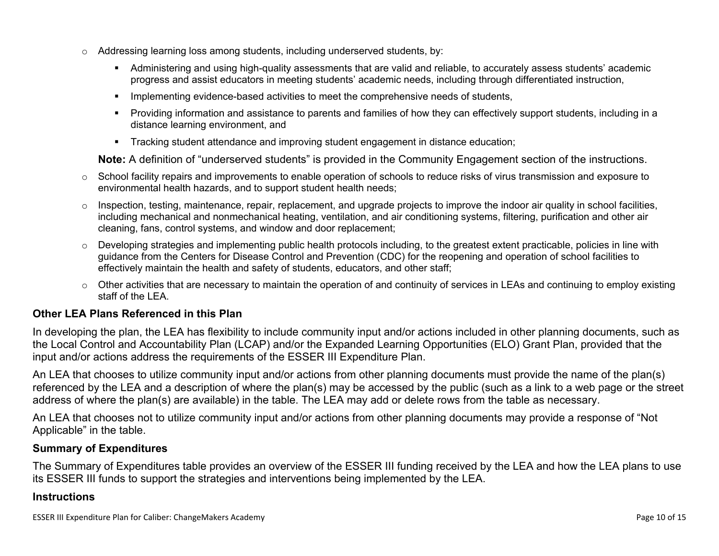- $\circ$  Addressing learning loss among students, including underserved students, by:
	- Administering and using high-quality assessments that are valid and reliable, to accurately assess students' academic progress and assist educators in meeting students' academic needs, including through differentiated instruction,
	- **IMPLEMENTER IMPLEMENT EVALUATE:** Implementing evidence-based activities to meet the comprehensive needs of students,
	- Providing information and assistance to parents and families of how they can effectively support students, including in a distance learning environment, and
	- Tracking student attendance and improving student engagement in distance education;

**Note:** A definition of "underserved students" is provided in the Community Engagement section of the instructions.

- $\circ$  School facility repairs and improvements to enable operation of schools to reduce risks of virus transmission and exposure to environmental health hazards, and to support student health needs;
- $\circ$  Inspection, testing, maintenance, repair, replacement, and upgrade projects to improve the indoor air quality in school facilities, including mechanical and nonmechanical heating, ventilation, and air conditioning systems, filtering, purification and other air cleaning, fans, control systems, and window and door replacement;
- $\circ$  Developing strategies and implementing public health protocols including, to the greatest extent practicable, policies in line with guidance from the Centers for Disease Control and Prevention (CDC) for the reopening and operation of school facilities to effectively maintain the health and safety of students, educators, and other staff;
- $\circ$  Other activities that are necessary to maintain the operation of and continuity of services in LEAs and continuing to employ existing staff of the LEA.

#### <span id="page-9-0"></span>**Other LEA Plans Referenced in this Plan**

In developing the plan, the LEA has flexibility to include community input and/or actions included in other planning documents, such as the Local Control and Accountability Plan (LCAP) and/or the Expanded Learning Opportunities (ELO) Grant Plan, provided that the input and/or actions address the requirements of the ESSER III Expenditure Plan.

An LEA that chooses to utilize community input and/or actions from other planning documents must provide the name of the plan(s) referenced by the LEA and a description of where the plan(s) may be accessed by the public (such as a link to a web page or the street address of where the plan(s) are available) in the table. The LEA may add or delete rows from the table as necessary.

An LEA that chooses not to utilize community input and/or actions from other planning documents may provide a response of "Not Applicable" in the table.

#### <span id="page-9-1"></span>**Summary of Expenditures**

The Summary of Expenditures table provides an overview of the ESSER III funding received by the LEA and how the LEA plans to use its ESSER III funds to support the strategies and interventions being implemented by the LEA.

#### **Instructions**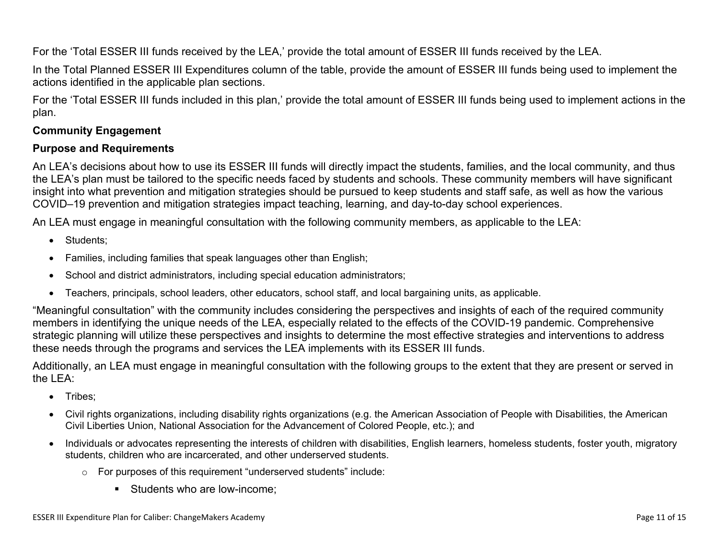For the 'Total ESSER III funds received by the LEA,' provide the total amount of ESSER III funds received by the LEA.

In the Total Planned ESSER III Expenditures column of the table, provide the amount of ESSER III funds being used to implement the actions identified in the applicable plan sections.

For the 'Total ESSER III funds included in this plan,' provide the total amount of ESSER III funds being used to implement actions in the plan.

#### <span id="page-10-0"></span>**Community Engagement**

#### **Purpose and Requirements**

An LEA's decisions about how to use its ESSER III funds will directly impact the students, families, and the local community, and thus the LEA's plan must be tailored to the specific needs faced by students and schools. These community members will have significant insight into what prevention and mitigation strategies should be pursued to keep students and staff safe, as well as how the various COVID–19 prevention and mitigation strategies impact teaching, learning, and day-to-day school experiences.

An LEA must engage in meaningful consultation with the following community members, as applicable to the LEA:

- Students:
- Families, including families that speak languages other than English;
- School and district administrators, including special education administrators;
- Teachers, principals, school leaders, other educators, school staff, and local bargaining units, as applicable.

"Meaningful consultation" with the community includes considering the perspectives and insights of each of the required community members in identifying the unique needs of the LEA, especially related to the effects of the COVID-19 pandemic. Comprehensive strategic planning will utilize these perspectives and insights to determine the most effective strategies and interventions to address these needs through the programs and services the LEA implements with its ESSER III funds.

Additionally, an LEA must engage in meaningful consultation with the following groups to the extent that they are present or served in the LEA:

- Tribes;
- Civil rights organizations, including disability rights organizations (e.g. the American Association of People with Disabilities, the American Civil Liberties Union, National Association for the Advancement of Colored People, etc.); and
- Individuals or advocates representing the interests of children with disabilities, English learners, homeless students, foster youth, migratory students, children who are incarcerated, and other underserved students.
	- o For purposes of this requirement "underserved students" include:
		- Students who are low-income: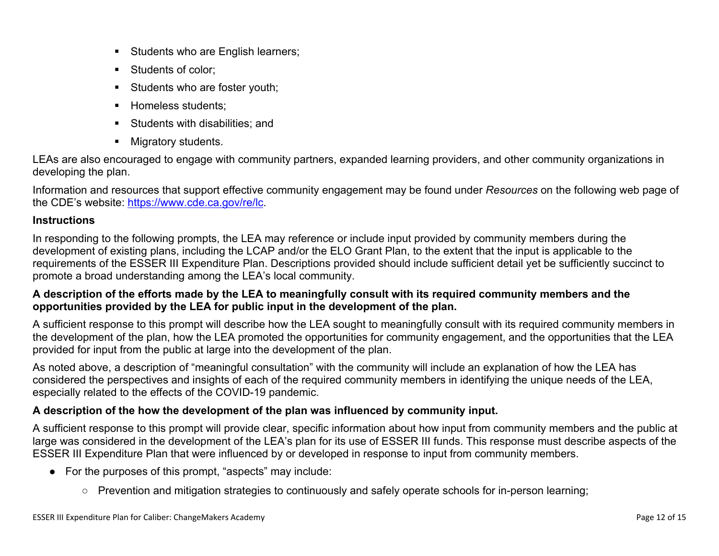- Students who are English learners;
- Students of color:
- Students who are foster youth;
- Homeless students;
- **Students with disabilities: and**
- **Migratory students.**

LEAs are also encouraged to engage with community partners, expanded learning providers, and other community organizations in developing the plan.

Information and resources that support effective community engagement may be found under *Resources* on the following web page of the CDE's website: <https://www.cde.ca.gov/re/lc>.

#### **Instructions**

In responding to the following prompts, the LEA may reference or include input provided by community members during the development of existing plans, including the LCAP and/or the ELO Grant Plan, to the extent that the input is applicable to the requirements of the ESSER III Expenditure Plan. Descriptions provided should include sufficient detail yet be sufficiently succinct to promote a broad understanding among the LEA's local community.

#### A description of the efforts made by the LEA to meaningfully consult with its required community members and the **opportunities provided by the LEA for public input in the development of the plan.**

A sufficient response to this prompt will describe how the LEA sought to meaningfully consult with its required community members in the development of the plan, how the LEA promoted the opportunities for community engagement, and the opportunities that the LEA provided for input from the public at large into the development of the plan.

As noted above, a description of "meaningful consultation" with the community will include an explanation of how the LEA has considered the perspectives and insights of each of the required community members in identifying the unique needs of the LEA, especially related to the effects of the COVID-19 pandemic.

#### **A description of the how the development of the plan was influenced by community input.**

A sufficient response to this prompt will provide clear, specific information about how input from community members and the public at large was considered in the development of the LEA's plan for its use of ESSER III funds. This response must describe aspects of the ESSER III Expenditure Plan that were influenced by or developed in response to input from community members.

- For the purposes of this prompt, "aspects" may include:
	- Prevention and mitigation strategies to continuously and safely operate schools for in-person learning;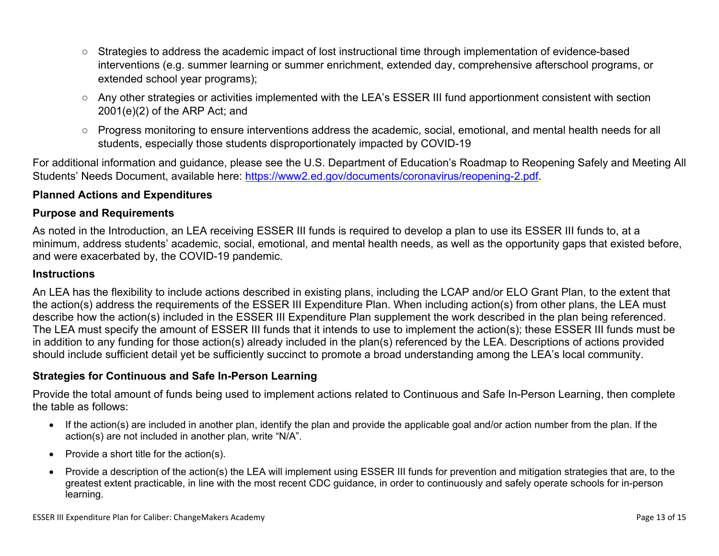- Strategies to address the academic impact of lost instructional time through implementation of evidence-based interventions (e.g. summer learning or summer enrichment, extended day, comprehensive afterschool programs, or extended school year programs);
- Any other strategies or activities implemented with the LEA's ESSER III fund apportionment consistent with section 2001(e)(2) of the ARP Act; and
- Progress monitoring to ensure interventions address the academic, social, emotional, and mental health needs for all students, especially those students disproportionately impacted by COVID-19

For additional information and guidance, please see the U.S. Department of Education's Roadmap to Reopening Safely and Meeting All Students' Needs Document, available here: [https://www2.ed.gov/documents/coronavirus/reopening-2.pdf.](https://www2.ed.gov/documents/coronavirus/reopening-2.pdf)

#### <span id="page-12-0"></span>**Planned Actions and Expenditures**

#### **Purpose and Requirements**

As noted in the Introduction, an LEA receiving ESSER III funds is required to develop a plan to use its ESSER III funds to, at a minimum, address students' academic, social, emotional, and mental health needs, as well as the opportunity gaps that existed before, and were exacerbated by, the COVID-19 pandemic.

#### **Instructions**

An LEA has the flexibility to include actions described in existing plans, including the LCAP and/or ELO Grant Plan, to the extent that the action(s) address the requirements of the ESSER III Expenditure Plan. When including action(s) from other plans, the LEA must describe how the action(s) included in the ESSER III Expenditure Plan supplement the work described in the plan being referenced. The LEA must specify the amount of ESSER III funds that it intends to use to implement the action(s); these ESSER III funds must be in addition to any funding for those action(s) already included in the plan(s) referenced by the LEA. Descriptions of actions provided should include sufficient detail yet be sufficiently succinct to promote a broad understanding among the LEA's local community.

#### <span id="page-12-1"></span>**Strategies for Continuous and Safe In-Person Learning**

Provide the total amount of funds being used to implement actions related to Continuous and Safe In-Person Learning, then complete the table as follows:

- If the action(s) are included in another plan, identify the plan and provide the applicable goal and/or action number from the plan. If the action(s) are not included in another plan, write "N/A".
- Provide a short title for the  $action(s)$ .
- Provide a description of the action(s) the LEA will implement using ESSER III funds for prevention and mitigation strategies that are, to the greatest extent practicable, in line with the most recent CDC guidance, in order to continuously and safely operate schools for in-person learning.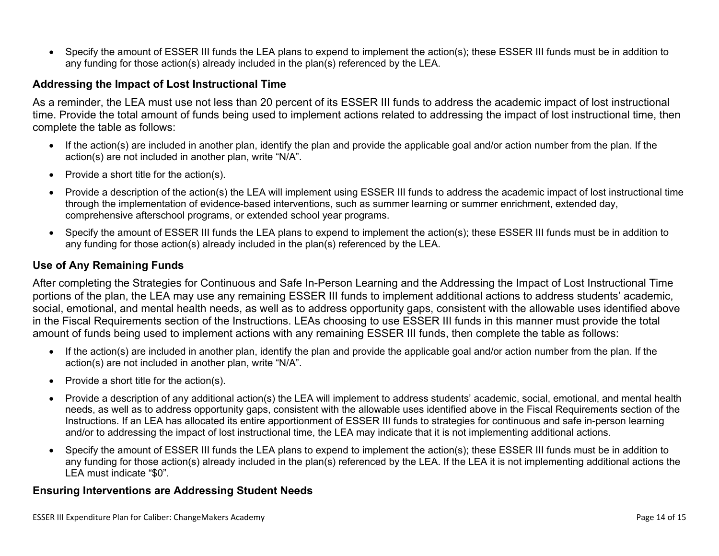Specify the amount of ESSER III funds the LEA plans to expend to implement the action(s); these ESSER III funds must be in addition to any funding for those action(s) already included in the plan(s) referenced by the LEA.

#### <span id="page-13-0"></span>**Addressing the Impact of Lost Instructional Time**

As a reminder, the LEA must use not less than 20 percent of its ESSER III funds to address the academic impact of lost instructional time. Provide the total amount of funds being used to implement actions related to addressing the impact of lost instructional time, then complete the table as follows:

- If the action(s) are included in another plan, identify the plan and provide the applicable goal and/or action number from the plan. If the action(s) are not included in another plan, write "N/A".
- Provide a short title for the  $action(s)$ .
- Provide a description of the action(s) the LEA will implement using ESSER III funds to address the academic impact of lost instructional time through the implementation of evidence-based interventions, such as summer learning or summer enrichment, extended day, comprehensive afterschool programs, or extended school year programs.
- Specify the amount of ESSER III funds the LEA plans to expend to implement the action(s); these ESSER III funds must be in addition to any funding for those action(s) already included in the plan(s) referenced by the LEA.

#### <span id="page-13-1"></span>**Use of Any Remaining Funds**

After completing the Strategies for Continuous and Safe In-Person Learning and the Addressing the Impact of Lost Instructional Time portions of the plan, the LEA may use any remaining ESSER III funds to implement additional actions to address students' academic, social, emotional, and mental health needs, as well as to address opportunity gaps, consistent with the allowable uses identified above in the Fiscal Requirements section of the Instructions. LEAs choosing to use ESSER III funds in this manner must provide the total amount of funds being used to implement actions with any remaining ESSER III funds, then complete the table as follows:

- If the action(s) are included in another plan, identify the plan and provide the applicable goal and/or action number from the plan. If the action(s) are not included in another plan, write "N/A".
- Provide a short title for the  $action(s)$ .
- Provide a description of any additional action(s) the LEA will implement to address students' academic, social, emotional, and mental health needs, as well as to address opportunity gaps, consistent with the allowable uses identified above in the Fiscal Requirements section of the Instructions. If an LEA has allocated its entire apportionment of ESSER III funds to strategies for continuous and safe in-person learning and/or to addressing the impact of lost instructional time, the LEA may indicate that it is not implementing additional actions.
- Specify the amount of ESSER III funds the LEA plans to expend to implement the action(s); these ESSER III funds must be in addition to any funding for those action(s) already included in the plan(s) referenced by the LEA. If the LEA it is not implementing additional actions the LEA must indicate "\$0".

#### <span id="page-13-2"></span>**Ensuring Interventions are Addressing Student Needs**